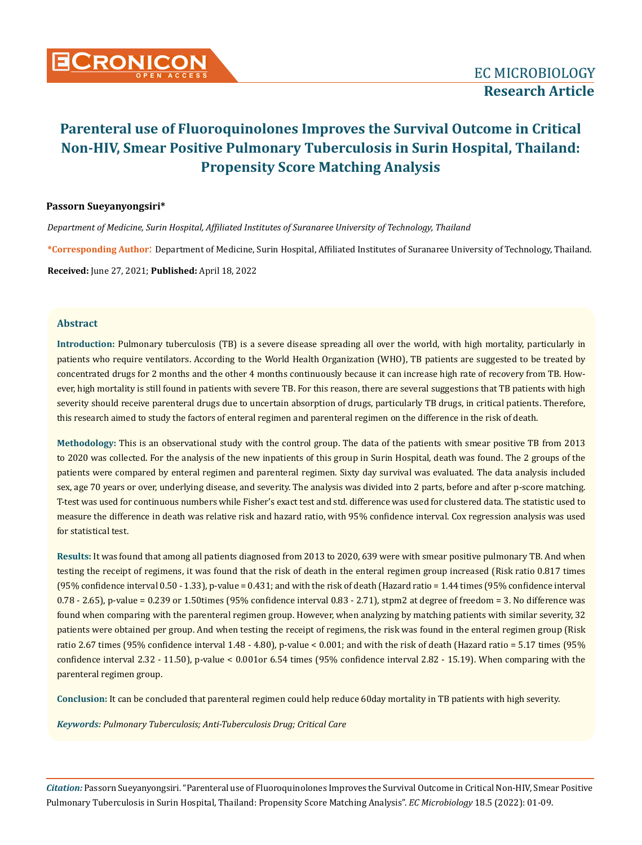

#### **Passorn Sueyanyongsiri\***

*Department of Medicine, Surin Hospital, Affiliated Institutes of Suranaree University of Technology, Thailand*

**\*Corresponding Author**: Department of Medicine, Surin Hospital, Affiliated Institutes of Suranaree University of Technology, Thailand.

**Received:** June 27, 2021; **Published:** April 18, 2022

#### **Abstract**

**Introduction:** Pulmonary tuberculosis (TB) is a severe disease spreading all over the world, with high mortality, particularly in patients who require ventilators. According to the World Health Organization (WHO), TB patients are suggested to be treated by concentrated drugs for 2 months and the other 4 months continuously because it can increase high rate of recovery from TB. However, high mortality is still found in patients with severe TB. For this reason, there are several suggestions that TB patients with high severity should receive parenteral drugs due to uncertain absorption of drugs, particularly TB drugs, in critical patients. Therefore, this research aimed to study the factors of enteral regimen and parenteral regimen on the difference in the risk of death.

**Methodology:** This is an observational study with the control group. The data of the patients with smear positive TB from 2013 to 2020 was collected. For the analysis of the new inpatients of this group in Surin Hospital, death was found. The 2 groups of the patients were compared by enteral regimen and parenteral regimen. Sixty day survival was evaluated. The data analysis included sex, age 70 years or over, underlying disease, and severity. The analysis was divided into 2 parts, before and after p-score matching. T-test was used for continuous numbers while Fisher's exact test and std. difference was used for clustered data. The statistic used to measure the difference in death was relative risk and hazard ratio, with 95% confidence interval. Cox regression analysis was used for statistical test.

**Results:** It was found that among all patients diagnosed from 2013 to 2020, 639 were with smear positive pulmonary TB. And when testing the receipt of regimens, it was found that the risk of death in the enteral regimen group increased (Risk ratio 0.817 times (95% confidence interval 0.50 - 1.33), p-value = 0.431; and with the risk of death (Hazard ratio = 1.44 times (95% confidence interval 0.78 - 2.65), p-value = 0.239 or 1.50times (95% confidence interval 0.83 - 2.71), stpm2 at degree of freedom = 3. No difference was found when comparing with the parenteral regimen group. However, when analyzing by matching patients with similar severity, 32 patients were obtained per group. And when testing the receipt of regimens, the risk was found in the enteral regimen group (Risk ratio 2.67 times (95% confidence interval 1.48 - 4.80), p-value < 0.001; and with the risk of death (Hazard ratio = 5.17 times (95% confidence interval 2.32 - 11.50), p-value < 0.001or 6.54 times (95% confidence interval 2.82 - 15.19). When comparing with the parenteral regimen group.

**Conclusion:** It can be concluded that parenteral regimen could help reduce 60day mortality in TB patients with high severity.

*Keywords: Pulmonary Tuberculosis; Anti-Tuberculosis Drug; Critical Care*

*Citation:* Passorn Sueyanyongsiri*.* "Parenteral use of Fluoroquinolones Improves the Survival Outcome in Critical Non-HIV, Smear Positive Pulmonary Tuberculosis in Surin Hospital, Thailand: Propensity Score Matching Analysis". *EC Microbiology* 18.5 (2022): 01-09.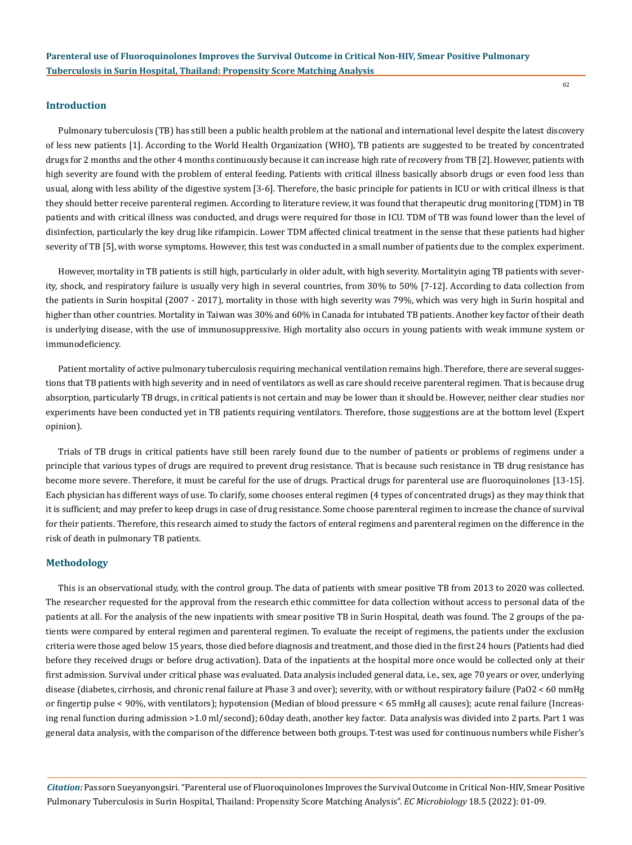#### **Introduction**

Pulmonary tuberculosis (TB) has still been a public health problem at the national and international level despite the latest discovery of less new patients [1]. According to the World Health Organization (WHO), TB patients are suggested to be treated by concentrated drugs for 2 months and the other 4 months continuously because it can increase high rate of recovery from TB [2]. However, patients with high severity are found with the problem of enteral feeding. Patients with critical illness basically absorb drugs or even food less than usual, along with less ability of the digestive system [3-6]. Therefore, the basic principle for patients in ICU or with critical illness is that they should better receive parenteral regimen. According to literature review, it was found that therapeutic drug monitoring (TDM) in TB patients and with critical illness was conducted, and drugs were required for those in ICU. TDM of TB was found lower than the level of disinfection, particularly the key drug like rifampicin. Lower TDM affected clinical treatment in the sense that these patients had higher severity of TB [5], with worse symptoms. However, this test was conducted in a small number of patients due to the complex experiment.

However, mortality in TB patients is still high, particularly in older adult, with high severity. Mortalityin aging TB patients with severity, shock, and respiratory failure is usually very high in several countries, from 30% to 50% [7-12]. According to data collection from the patients in Surin hospital (2007 - 2017), mortality in those with high severity was 79%, which was very high in Surin hospital and higher than other countries. Mortality in Taiwan was 30% and 60% in Canada for intubated TB patients. Another key factor of their death is underlying disease, with the use of immunosuppressive. High mortality also occurs in young patients with weak immune system or immunodeficiency.

Patient mortality of active pulmonary tuberculosis requiring mechanical ventilation remains high. Therefore, there are several suggestions that TB patients with high severity and in need of ventilators as well as care should receive parenteral regimen. That is because drug absorption, particularly TB drugs, in critical patients is not certain and may be lower than it should be. However, neither clear studies nor experiments have been conducted yet in TB patients requiring ventilators. Therefore, those suggestions are at the bottom level (Expert opinion).

Trials of TB drugs in critical patients have still been rarely found due to the number of patients or problems of regimens under a principle that various types of drugs are required to prevent drug resistance. That is because such resistance in TB drug resistance has become more severe. Therefore, it must be careful for the use of drugs. Practical drugs for parenteral use are fluoroquinolones [13-15]. Each physician has different ways of use. To clarify, some chooses enteral regimen (4 types of concentrated drugs) as they may think that it is sufficient; and may prefer to keep drugs in case of drug resistance. Some choose parenteral regimen to increase the chance of survival for their patients. Therefore, this research aimed to study the factors of enteral regimens and parenteral regimen on the difference in the risk of death in pulmonary TB patients.

#### **Methodology**

This is an observational study, with the control group. The data of patients with smear positive TB from 2013 to 2020 was collected. The researcher requested for the approval from the research ethic committee for data collection without access to personal data of the patients at all. For the analysis of the new inpatients with smear positive TB in Surin Hospital, death was found. The 2 groups of the patients were compared by enteral regimen and parenteral regimen. To evaluate the receipt of regimens, the patients under the exclusion criteria were those aged below 15 years, those died before diagnosis and treatment, and those died in the first 24 hours (Patients had died before they received drugs or before drug activation). Data of the inpatients at the hospital more once would be collected only at their first admission. Survival under critical phase was evaluated. Data analysis included general data, i.e., sex, age 70 years or over, underlying disease (diabetes, cirrhosis, and chronic renal failure at Phase 3 and over); severity, with or without respiratory failure (PaO2 < 60 mmHg or fingertip pulse < 90%, with ventilators); hypotension (Median of blood pressure < 65 mmHg all causes); acute renal failure (Increasing renal function during admission >1.0 ml/second); 60day death, another key factor. Data analysis was divided into 2 parts. Part 1 was general data analysis, with the comparison of the difference between both groups. T-test was used for continuous numbers while Fisher's

*Citation:* Passorn Sueyanyongsiri*.* "Parenteral use of Fluoroquinolones Improves the Survival Outcome in Critical Non-HIV, Smear Positive Pulmonary Tuberculosis in Surin Hospital, Thailand: Propensity Score Matching Analysis". *EC Microbiology* 18.5 (2022): 01-09.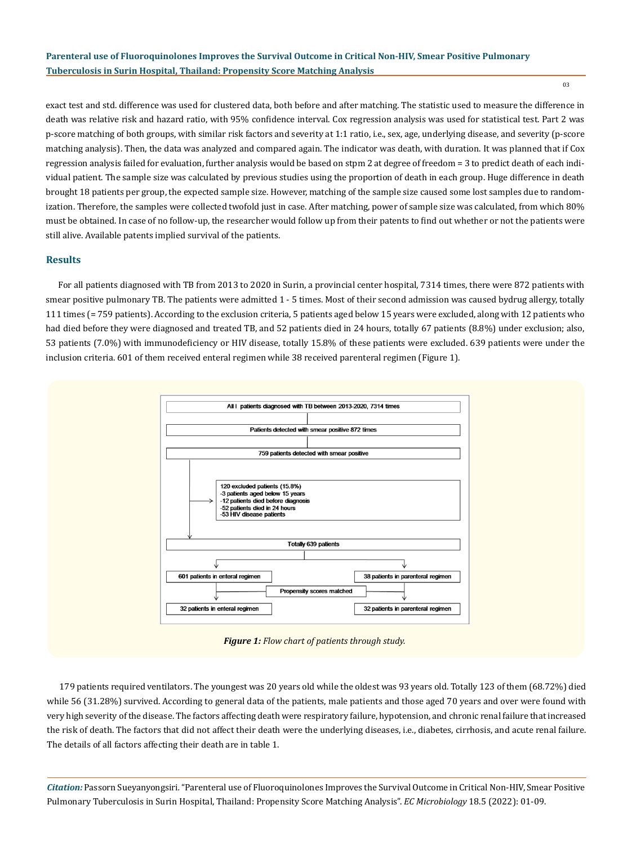exact test and std. difference was used for clustered data, both before and after matching. The statistic used to measure the difference in death was relative risk and hazard ratio, with 95% confidence interval. Cox regression analysis was used for statistical test. Part 2 was p-score matching of both groups, with similar risk factors and severity at 1:1 ratio, i.e., sex, age, underlying disease, and severity (p-score matching analysis). Then, the data was analyzed and compared again. The indicator was death, with duration. It was planned that if Cox regression analysis failed for evaluation, further analysis would be based on stpm 2 at degree of freedom = 3 to predict death of each individual patient. The sample size was calculated by previous studies using the proportion of death in each group. Huge difference in death brought 18 patients per group, the expected sample size. However, matching of the sample size caused some lost samples due to randomization. Therefore, the samples were collected twofold just in case. After matching, power of sample size was calculated, from which 80% must be obtained. In case of no follow-up, the researcher would follow up from their patents to find out whether or not the patients were still alive. Available patents implied survival of the patients.

## **Results**

For all patients diagnosed with TB from 2013 to 2020 in Surin, a provincial center hospital, 7314 times, there were 872 patients with smear positive pulmonary TB. The patients were admitted 1 - 5 times. Most of their second admission was caused bydrug allergy, totally 111 times (= 759 patients). According to the exclusion criteria, 5 patients aged below 15 years were excluded, along with 12 patients who had died before they were diagnosed and treated TB, and 52 patients died in 24 hours, totally 67 patients (8.8%) under exclusion; also, 53 patients (7.0%) with immunodeficiency or HIV disease, totally 15.8% of these patients were excluded. 639 patients were under the inclusion criteria. 601 of them received enteral regimen while 38 received parenteral regimen (Figure 1).



*Figure 1: Flow chart of patients through study.*

179 patients required ventilators. The youngest was 20 years old while the oldest was 93 years old. Totally 123 of them (68.72%) died while 56 (31.28%) survived. According to general data of the patients, male patients and those aged 70 years and over were found with very high severity of the disease. The factors affecting death were respiratory failure, hypotension, and chronic renal failure that increased the risk of death. The factors that did not affect their death were the underlying diseases, i.e., diabetes, cirrhosis, and acute renal failure. The details of all factors affecting their death are in table 1.

*Citation:* Passorn Sueyanyongsiri*.* "Parenteral use of Fluoroquinolones Improves the Survival Outcome in Critical Non-HIV, Smear Positive Pulmonary Tuberculosis in Surin Hospital, Thailand: Propensity Score Matching Analysis". *EC Microbiology* 18.5 (2022): 01-09.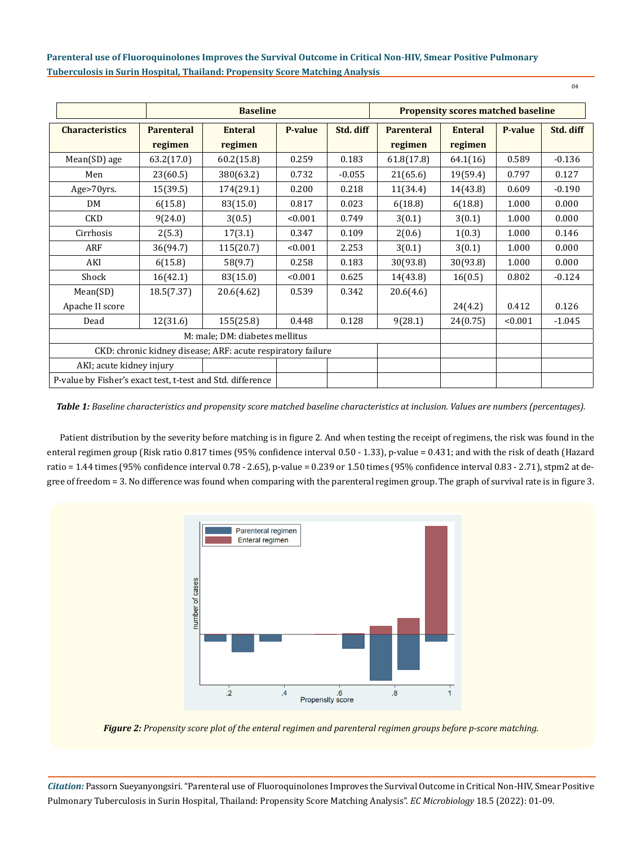|                                                             | <b>Baseline</b>   |                |         |           | <b>Propensity scores matched baseline</b> |                |         |           |
|-------------------------------------------------------------|-------------------|----------------|---------|-----------|-------------------------------------------|----------------|---------|-----------|
| <b>Characteristics</b>                                      | <b>Parenteral</b> | <b>Enteral</b> | P-value | Std. diff | <b>Parenteral</b>                         | <b>Enteral</b> | P-value | Std. diff |
|                                                             | regimen           | regimen        |         |           | regimen                                   | regimen        |         |           |
| Mean(SD) age                                                | 63.2(17.0)        | 60.2(15.8)     | 0.259   | 0.183     | 61.8(17.8)                                | 64.1(16)       | 0.589   | $-0.136$  |
| Men                                                         | 23(60.5)          | 380(63.2)      | 0.732   | $-0.055$  | 21(65.6)                                  | 19(59.4)       | 0.797   | 0.127     |
| Age>70yrs.                                                  | 15(39.5)          | 174(29.1)      | 0.200   | 0.218     | 11(34.4)                                  | 14(43.8)       | 0.609   | $-0.190$  |
| DM                                                          | 6(15.8)           | 83(15.0)       | 0.817   | 0.023     | 6(18.8)                                   | 6(18.8)        | 1.000   | 0.000     |
| <b>CKD</b>                                                  | 9(24.0)           | 3(0.5)         | < 0.001 | 0.749     | 3(0.1)                                    | 3(0.1)         | 1.000   | 0.000     |
| Cirrhosis                                                   | 2(5.3)            | 17(3.1)        | 0.347   | 0.109     | 2(0.6)                                    | 1(0.3)         | 1.000   | 0.146     |
| ARF                                                         | 36(94.7)          | 115(20.7)      | < 0.001 | 2.253     | 3(0.1)                                    | 3(0.1)         | 1.000   | 0.000     |
| AKI                                                         | 6(15.8)           | 58(9.7)        | 0.258   | 0.183     | 30(93.8)                                  | 30(93.8)       | 1.000   | 0.000     |
| Shock                                                       | 16(42.1)          | 83(15.0)       | < 0.001 | 0.625     | 14(43.8)                                  | 16(0.5)        | 0.802   | $-0.124$  |
| Mean(SD)                                                    | 18.5(7.37)        | 20.6(4.62)     | 0.539   | 0.342     | 20.6(4.6)                                 |                |         |           |
| Apache II score                                             |                   |                |         |           |                                           | 24(4.2)        | 0.412   | 0.126     |
| Dead                                                        | 12(31.6)          | 155(25.8)      | 0.448   | 0.128     | 9(28.1)                                   | 24(0.75)       | < 0.001 | $-1.045$  |
| M: male; DM: diabetes mellitus                              |                   |                |         |           |                                           |                |         |           |
| CKD: chronic kidney disease; ARF: acute respiratory failure |                   |                |         |           |                                           |                |         |           |
| AKI; acute kidney injury                                    |                   |                |         |           |                                           |                |         |           |
| P-value by Fisher's exact test, t-test and Std. difference  |                   |                |         |           |                                           |                |         |           |

*Table 1: Baseline characteristics and propensity score matched baseline characteristics at inclusion. Values are numbers (percentages).*

Patient distribution by the severity before matching is in figure 2. And when testing the receipt of regimens, the risk was found in the enteral regimen group (Risk ratio 0.817 times (95% confidence interval 0.50 - 1.33), p-value = 0.431; and with the risk of death (Hazard ratio = 1.44 times (95% confidence interval 0.78 - 2.65), p-value = 0.239 or 1.50 times (95% confidence interval 0.83 - 2.71), stpm2 at degree of freedom = 3. No difference was found when comparing with the parenteral regimen group. The graph of survival rate is in figure 3.



*Figure 2: Propensity score plot of the enteral regimen and parenteral regimen groups before p-score matching.*

*Citation:* Passorn Sueyanyongsiri*.* "Parenteral use of Fluoroquinolones Improves the Survival Outcome in Critical Non-HIV, Smear Positive Pulmonary Tuberculosis in Surin Hospital, Thailand: Propensity Score Matching Analysis". *EC Microbiology* 18.5 (2022): 01-09.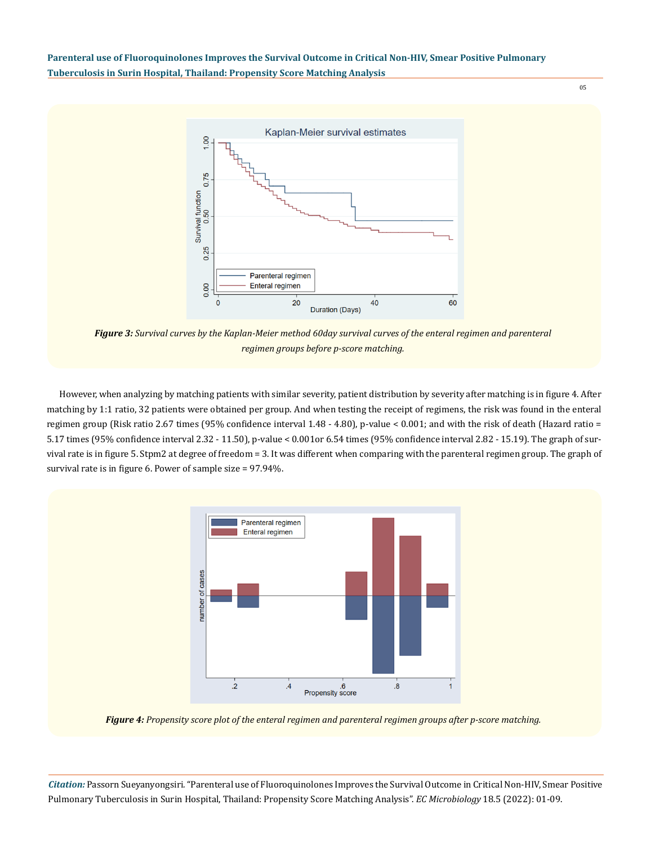05



*Figure 3: Survival curves by the Kaplan-Meier method 60day survival curves of the enteral regimen and parenteral regimen groups before p-score matching.*

However, when analyzing by matching patients with similar severity, patient distribution by severity after matching is in figure 4. After matching by 1:1 ratio, 32 patients were obtained per group. And when testing the receipt of regimens, the risk was found in the enteral regimen group (Risk ratio 2.67 times (95% confidence interval 1.48 - 4.80), p-value < 0.001; and with the risk of death (Hazard ratio = 5.17 times (95% confidence interval 2.32 - 11.50), p-value < 0.001or 6.54 times (95% confidence interval 2.82 - 15.19). The graph of survival rate is in figure 5. Stpm2 at degree of freedom = 3. It was different when comparing with the parenteral regimen group. The graph of survival rate is in figure 6. Power of sample size = 97.94%.



*Figure 4: Propensity score plot of the enteral regimen and parenteral regimen groups after p-score matching.*

*Citation:* Passorn Sueyanyongsiri*.* "Parenteral use of Fluoroquinolones Improves the Survival Outcome in Critical Non-HIV, Smear Positive Pulmonary Tuberculosis in Surin Hospital, Thailand: Propensity Score Matching Analysis". *EC Microbiology* 18.5 (2022): 01-09.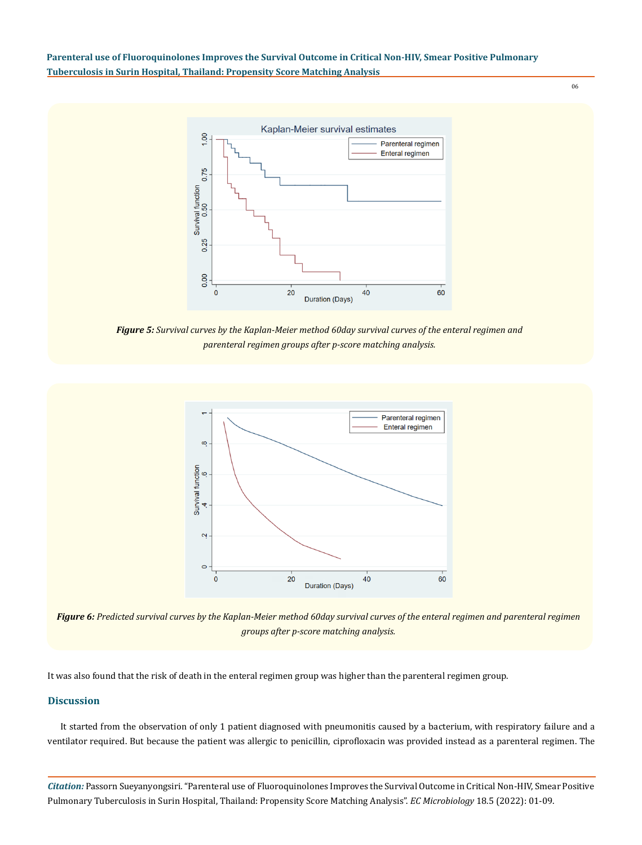

*Figure 5: Survival curves by the Kaplan-Meier method 60day survival curves of the enteral regimen and parenteral regimen groups after p-score matching analysis.*



*Figure 6: Predicted survival curves by the Kaplan-Meier method 60day survival curves of the enteral regimen and parenteral regimen groups after p-score matching analysis.*

It was also found that the risk of death in the enteral regimen group was higher than the parenteral regimen group.

#### **Discussion**

It started from the observation of only 1 patient diagnosed with pneumonitis caused by a bacterium, with respiratory failure and a ventilator required. But because the patient was allergic to penicillin, ciprofloxacin was provided instead as a parenteral regimen. The

*Citation:* Passorn Sueyanyongsiri*.* "Parenteral use of Fluoroquinolones Improves the Survival Outcome in Critical Non-HIV, Smear Positive Pulmonary Tuberculosis in Surin Hospital, Thailand: Propensity Score Matching Analysis". *EC Microbiology* 18.5 (2022): 01-09.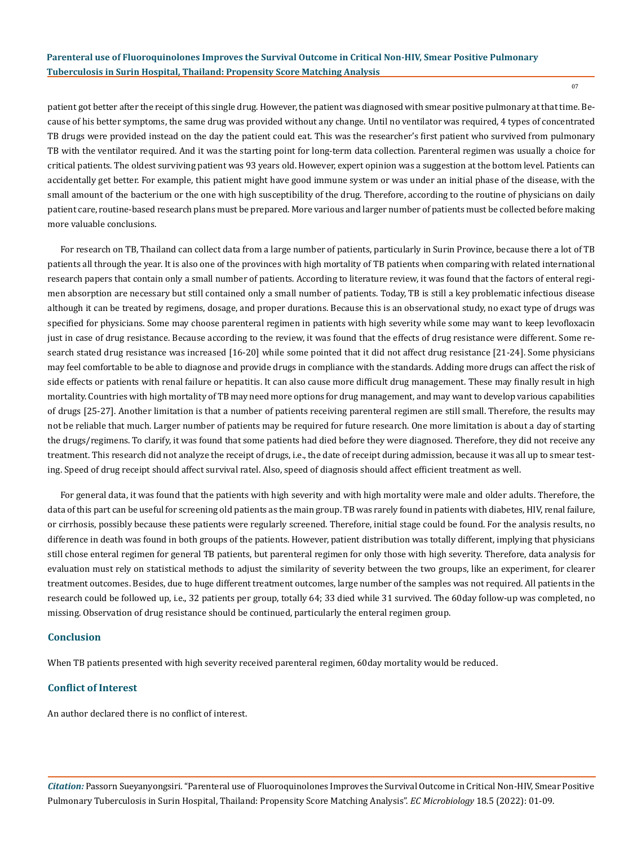patient got better after the receipt of this single drug. However, the patient was diagnosed with smear positive pulmonary at that time. Because of his better symptoms, the same drug was provided without any change. Until no ventilator was required, 4 types of concentrated TB drugs were provided instead on the day the patient could eat. This was the researcher's first patient who survived from pulmonary TB with the ventilator required. And it was the starting point for long-term data collection. Parenteral regimen was usually a choice for critical patients. The oldest surviving patient was 93 years old. However, expert opinion was a suggestion at the bottom level. Patients can accidentally get better. For example, this patient might have good immune system or was under an initial phase of the disease, with the small amount of the bacterium or the one with high susceptibility of the drug. Therefore, according to the routine of physicians on daily patient care, routine-based research plans must be prepared. More various and larger number of patients must be collected before making more valuable conclusions.

For research on TB, Thailand can collect data from a large number of patients, particularly in Surin Province, because there a lot of TB patients all through the year. It is also one of the provinces with high mortality of TB patients when comparing with related international research papers that contain only a small number of patients. According to literature review, it was found that the factors of enteral regimen absorption are necessary but still contained only a small number of patients. Today, TB is still a key problematic infectious disease although it can be treated by regimens, dosage, and proper durations. Because this is an observational study, no exact type of drugs was specified for physicians. Some may choose parenteral regimen in patients with high severity while some may want to keep levofloxacin just in case of drug resistance. Because according to the review, it was found that the effects of drug resistance were different. Some research stated drug resistance was increased [16-20] while some pointed that it did not affect drug resistance [21-24]. Some physicians may feel comfortable to be able to diagnose and provide drugs in compliance with the standards. Adding more drugs can affect the risk of side effects or patients with renal failure or hepatitis. It can also cause more difficult drug management. These may finally result in high mortality. Countries with high mortality of TB may need more options for drug management, and may want to develop various capabilities of drugs [25-27]. Another limitation is that a number of patients receiving parenteral regimen are still small. Therefore, the results may not be reliable that much. Larger number of patients may be required for future research. One more limitation is about a day of starting the drugs/regimens. To clarify, it was found that some patients had died before they were diagnosed. Therefore, they did not receive any treatment. This research did not analyze the receipt of drugs, i.e., the date of receipt during admission, because it was all up to smear testing. Speed of drug receipt should affect survival ratel. Also, speed of diagnosis should affect efficient treatment as well.

For general data, it was found that the patients with high severity and with high mortality were male and older adults. Therefore, the data of this part can be useful for screening old patients as the main group. TB was rarely found in patients with diabetes, HIV, renal failure, or cirrhosis, possibly because these patients were regularly screened. Therefore, initial stage could be found. For the analysis results, no difference in death was found in both groups of the patients. However, patient distribution was totally different, implying that physicians still chose enteral regimen for general TB patients, but parenteral regimen for only those with high severity. Therefore, data analysis for evaluation must rely on statistical methods to adjust the similarity of severity between the two groups, like an experiment, for clearer treatment outcomes. Besides, due to huge different treatment outcomes, large number of the samples was not required. All patients in the research could be followed up, i.e., 32 patients per group, totally 64; 33 died while 31 survived. The 60day follow-up was completed, no missing. Observation of drug resistance should be continued, particularly the enteral regimen group.

#### **Conclusion**

When TB patients presented with high severity received parenteral regimen, 60day mortality would be reduced.

## **Conflict of Interest**

An author declared there is no conflict of interest.

*Citation:* Passorn Sueyanyongsiri*.* "Parenteral use of Fluoroquinolones Improves the Survival Outcome in Critical Non-HIV, Smear Positive Pulmonary Tuberculosis in Surin Hospital, Thailand: Propensity Score Matching Analysis". *EC Microbiology* 18.5 (2022): 01-09.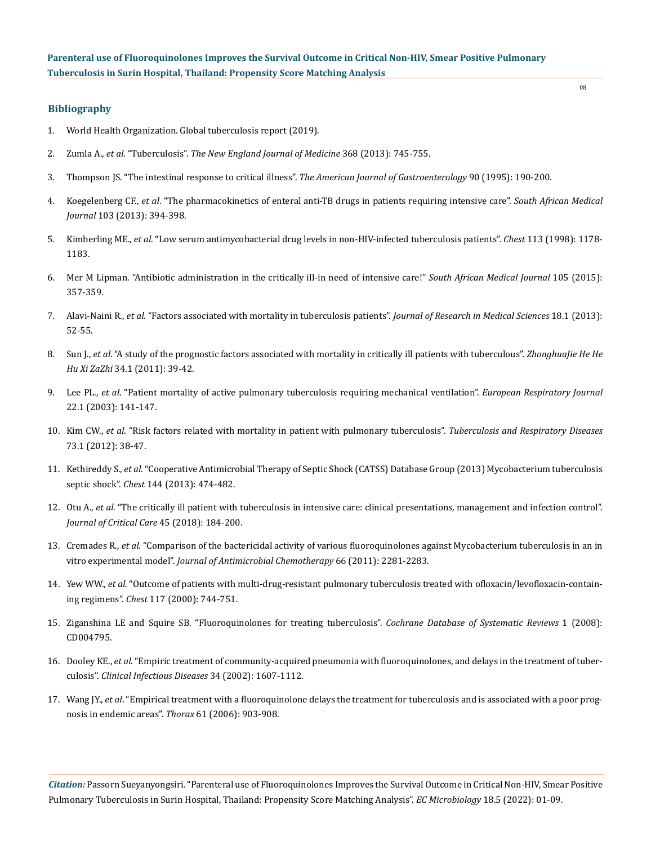## **Bibliography**

- 1. [World Health Organization. Global tuberculosis report \(2019\).](https://www.who.int/publications-detail-redirect/9789241565714)
- 2. Zumla A., *et al*. "Tuberculosis". *[The New England Journal of Medicine](https://www.thelancet.com/series/tuberculosis-2013)* 368 (2013): 745-755.
- 3. [Thompson JS. "The intestinal response to critical illness".](https://pubmed.ncbi.nlm.nih.gov/7847284/) *The American Journal of Gastroenterology* 90 (1995): 190-200.
- 4. Koegelenberg CF., *et al*[. "The pharmacokinetics of enteral anti-TB drugs in patients requiring intensive care".](http://www.samj.org.za/index.php/samj/article/view/6344/5126) *South African Medical Journal* [103 \(2013\): 394-398.](http://www.samj.org.za/index.php/samj/article/view/6344/5126)
- 5. Kimberling ME., *et al*[. "Low serum antimycobacterial drug levels in non-HIV-infected tuberculosis patients".](https://pubmed.ncbi.nlm.nih.gov/9596291/) *Chest* 113 (1998): 1178- [1183.](https://pubmed.ncbi.nlm.nih.gov/9596291/)
- 6. [Mer M Lipman. "Antibiotic administration in the critically ill-in need of intensive care!"](http://www.scielo.org.za/scielo.php?script=sci_arttext&pid=S0256-95742015000500018) *South African Medical Journal* 105 (2015): [357-359.](http://www.scielo.org.za/scielo.php?script=sci_arttext&pid=S0256-95742015000500018)
- 7. Alavi-Naini R., *et al*[. "Factors associated with mortality in tuberculosis patients".](https://pubmed.ncbi.nlm.nih.gov/23901338/) *Journal of Research in Medical Sciences* 18.1 (2013): [52-55.](https://pubmed.ncbi.nlm.nih.gov/23901338/)
- 8. Sun J., *et al*[. "A study of the prognostic factors associated with mortality in critically ill patients with tuberculous".](https://pubmed.ncbi.nlm.nih.gov/21429418/) *ZhonghuaJie He He Hu Xi ZaZhi* [34.1 \(2011\): 39-42.](https://pubmed.ncbi.nlm.nih.gov/21429418/)
- 9. Lee PL., *et al*[. "Patient mortality of active pulmonary tuberculosis requiring mechanical ventilation".](https://erj.ersjournals.com/content/22/1/141) *European Respiratory Journal* [22.1 \(2003\): 141-147.](https://erj.ersjournals.com/content/22/1/141)
- 10. Kim CW., *et al*[. "Risk factors related with mortality in patient with pulmonary tuberculosis".](https://pubmed.ncbi.nlm.nih.gov/23101023/) *Tuberculosis and Respiratory Diseases* [73.1 \(2012\): 38-47.](https://pubmed.ncbi.nlm.nih.gov/23101023/)
- 11. Kethireddy S., *et al*[. "Cooperative Antimicrobial Therapy of Septic Shock \(CATSS\) Database Group \(2013\) Mycobacterium tuberculosis](https://pubmed.ncbi.nlm.nih.gov/23429859/)  septic shock". *Chest* [144 \(2013\): 474-482.](https://pubmed.ncbi.nlm.nih.gov/23429859/)
- 12. Otu A., *et al*[. "The critically ill patient with tuberculosis in intensive care: clinical presentations, management and infection control".](https://pubmed.ncbi.nlm.nih.gov/29571116/)  *[Journal of Critical Care](https://pubmed.ncbi.nlm.nih.gov/29571116/)* 45 (2018): 184-200.
- 13. Cremades R., *et al*[. "Comparison of the bactericidal activity of various fluoroquinolones against Mycobacterium tuberculosis in an in](https://pubmed.ncbi.nlm.nih.gov/21733966/)  vitro experimental model". *[Journal of Antimicrobial Chemotherapy](https://pubmed.ncbi.nlm.nih.gov/21733966/)* 66 (2011): 2281-2283.
- 14. Yew WW., *et al*[. "Outcome of patients with multi-drug-resistant pulmonary tuberculosis treated with ofloxacin/levofloxacin-contain](https://pubmed.ncbi.nlm.nih.gov/10713001/)ing regimens". *Chest* [117 \(2000\): 744-751.](https://pubmed.ncbi.nlm.nih.gov/10713001/)
- 15. [Ziganshina LE and Squire SB. "Fluoroquinolones for treating tuberculosis".](https://pharmaceutical-journal.com/article/ld/fluoroquinolones-for-treating-tuberculosis) *Cochrane Database of Systematic Reviews* 1 (2008): [CD004795.](https://pharmaceutical-journal.com/article/ld/fluoroquinolones-for-treating-tuberculosis)
- 16. Dooley KE., *et al*[. "Empiric treatment of community-acquired pneumonia with fluoroquinolones, and delays in the treatment of tuber](https://pubmed.ncbi.nlm.nih.gov/12032896/)culosis". *[Clinical Infectious Diseases](https://pubmed.ncbi.nlm.nih.gov/12032896/)* 34 (2002): 1607-1112.
- 17. Wang JY., *et al*[. "Empirical treatment with a fluoroquinolone delays the treatment for tuberculosis and is associated with a poor prog](https://thorax.bmj.com/content/61/10/903)[nosis in endemic areas".](https://thorax.bmj.com/content/61/10/903) *Thorax* 61 (2006): 903-908.

*Citation:* Passorn Sueyanyongsiri*.* "Parenteral use of Fluoroquinolones Improves the Survival Outcome in Critical Non-HIV, Smear Positive Pulmonary Tuberculosis in Surin Hospital, Thailand: Propensity Score Matching Analysis". *EC Microbiology* 18.5 (2022): 01-09.